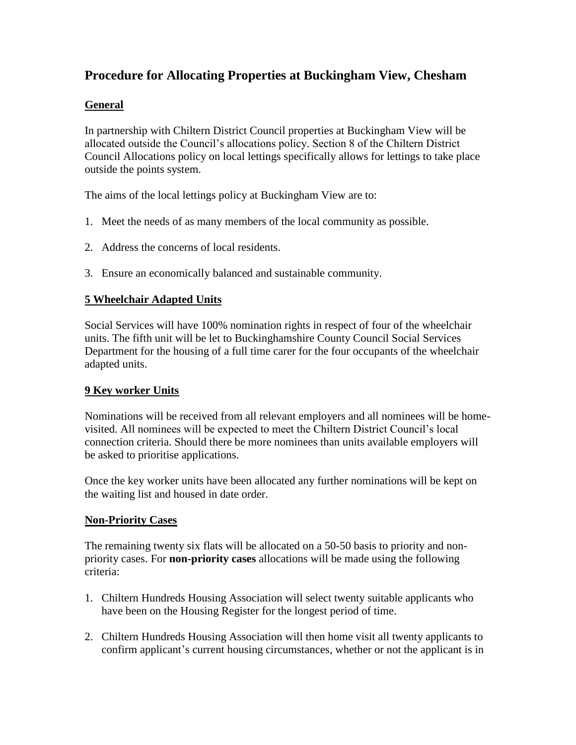# **Procedure for Allocating Properties at Buckingham View, Chesham**

### **General**

In partnership with Chiltern District Council properties at Buckingham View will be allocated outside the Council's allocations policy. Section 8 of the Chiltern District Council Allocations policy on local lettings specifically allows for lettings to take place outside the points system.

The aims of the local lettings policy at Buckingham View are to:

- 1. Meet the needs of as many members of the local community as possible.
- 2. Address the concerns of local residents.
- 3. Ensure an economically balanced and sustainable community.

## **5 Wheelchair Adapted Units**

Social Services will have 100% nomination rights in respect of four of the wheelchair units. The fifth unit will be let to Buckinghamshire County Council Social Services Department for the housing of a full time carer for the four occupants of the wheelchair adapted units.

#### **9 Key worker Units**

Nominations will be received from all relevant employers and all nominees will be homevisited. All nominees will be expected to meet the Chiltern District Council's local connection criteria. Should there be more nominees than units available employers will be asked to prioritise applications.

Once the key worker units have been allocated any further nominations will be kept on the waiting list and housed in date order.

#### **Non-Priority Cases**

The remaining twenty six flats will be allocated on a 50-50 basis to priority and nonpriority cases. For **non-priority cases** allocations will be made using the following criteria:

- 1. Chiltern Hundreds Housing Association will select twenty suitable applicants who have been on the Housing Register for the longest period of time.
- 2. Chiltern Hundreds Housing Association will then home visit all twenty applicants to confirm applicant's current housing circumstances, whether or not the applicant is in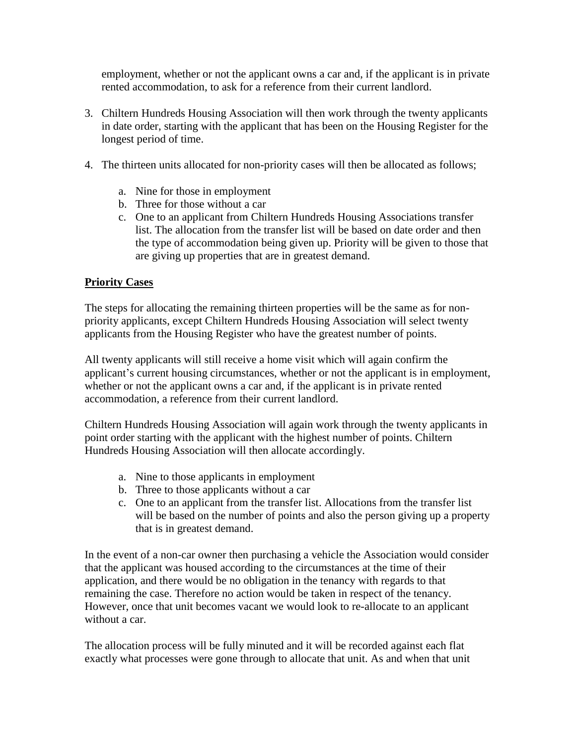employment, whether or not the applicant owns a car and, if the applicant is in private rented accommodation, to ask for a reference from their current landlord.

- 3. Chiltern Hundreds Housing Association will then work through the twenty applicants in date order, starting with the applicant that has been on the Housing Register for the longest period of time.
- 4. The thirteen units allocated for non-priority cases will then be allocated as follows;
	- a. Nine for those in employment
	- b. Three for those without a car
	- c. One to an applicant from Chiltern Hundreds Housing Associations transfer list. The allocation from the transfer list will be based on date order and then the type of accommodation being given up. Priority will be given to those that are giving up properties that are in greatest demand.

#### **Priority Cases**

The steps for allocating the remaining thirteen properties will be the same as for nonpriority applicants, except Chiltern Hundreds Housing Association will select twenty applicants from the Housing Register who have the greatest number of points.

All twenty applicants will still receive a home visit which will again confirm the applicant's current housing circumstances, whether or not the applicant is in employment, whether or not the applicant owns a car and, if the applicant is in private rented accommodation, a reference from their current landlord.

Chiltern Hundreds Housing Association will again work through the twenty applicants in point order starting with the applicant with the highest number of points. Chiltern Hundreds Housing Association will then allocate accordingly.

- a. Nine to those applicants in employment
- b. Three to those applicants without a car
- c. One to an applicant from the transfer list. Allocations from the transfer list will be based on the number of points and also the person giving up a property that is in greatest demand.

In the event of a non-car owner then purchasing a vehicle the Association would consider that the applicant was housed according to the circumstances at the time of their application, and there would be no obligation in the tenancy with regards to that remaining the case. Therefore no action would be taken in respect of the tenancy. However, once that unit becomes vacant we would look to re-allocate to an applicant without a car.

The allocation process will be fully minuted and it will be recorded against each flat exactly what processes were gone through to allocate that unit. As and when that unit